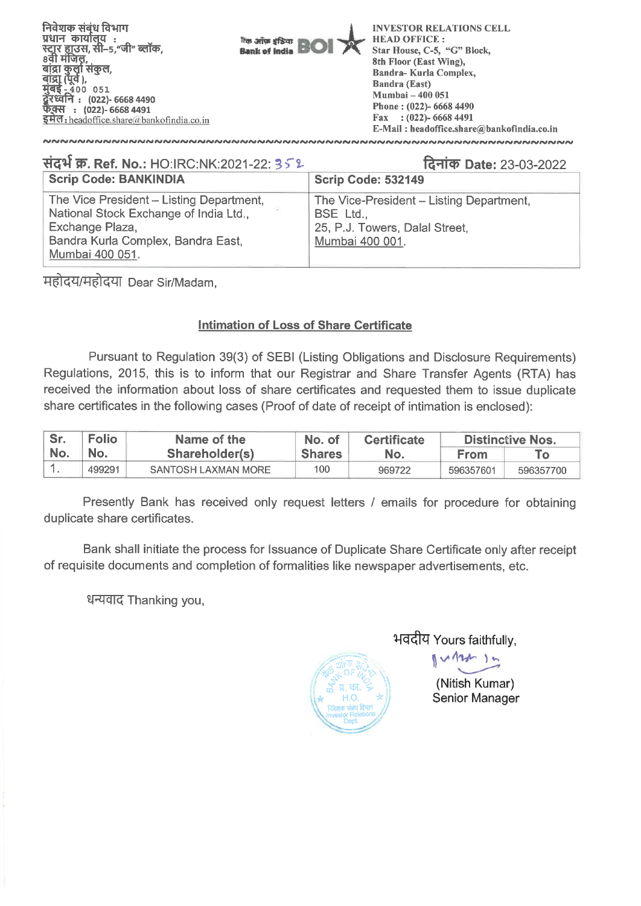**निवेशक संबंध विभाग प्रधान कार्यालय**: **—5,"M" Gel Kt), Bank of knits <sup>1</sup>115 ariw Oft Boi**  ४५१ नाजरः,<br>बांद्रा कुर्ला संकुल,<br>बांद्रा (पूर्व ),<br>मुंबई - 400 051 - ५<br>रिध्वनि : (022)- 6668 4490 **: (022)- 6668 4491 54 el:** headoffice. share *rt* bankofindia.co.in **INVESTOR RELATIONS CELL HEAD OFFICE : Star House, C-5, "G" Block, 8th Floor (East Wing), Bandra- Kurla Complex, Bandra (East) Mumbai — 400 051 Phone : (022)- 6668 4490 Fax : (022)- 6668 4491 E-Mail : headoffice.share@bankofindia.co.in** 

#### **Scrip Code: BANKINDIA Scrip Code: 532149 14T. Ref. No.:** HO:IRC:NK:2021-22: **1.4-IIcr) Date:** 23-03-2022

| <b>SCRIP CODE: BANKINDIA</b>             | Scrip Code: 532149                       |
|------------------------------------------|------------------------------------------|
| The Vice President - Listing Department, | The Vice-President – Listing Department, |
| National Stock Exchange of India Ltd.,   | BSE Ltd.,                                |
| Exchange Plaza,                          | 25, P.J. Towers, Dalal Street,           |
| Bandra Kurla Complex, Bandra East,       | Mumbai 400 001.                          |
| Mumbai 400 051.                          |                                          |

महोदय/महोदया Dear Sir/Madam,

## **Intimation of Loss of Share Certificate**

Pursuant to Regulation 39(3) of SEBI (Listing Obligations and Disclosure Requirements) Regulations, 2015, this is to inform that our Registrar and Share Transfer Agents (RTA) has received the information about loss of share certificates and requested them to issue duplicate share certificates in the following cases (Proof of date of receipt of intimation is enclosed):

| Sr. | <b>Folio</b> | Name of the         | No. of        | <b>Certificate</b> | <b>Distinctive Nos.</b> |           |
|-----|--------------|---------------------|---------------|--------------------|-------------------------|-----------|
| No. | No.          | Shareholder(s)      | <b>Shares</b> | No.                | <b>From</b>             |           |
|     | 499291       | SANTOSH LAXMAN MORE | 100           | 969722             | 596357601               | 596357700 |

Presently Bank has received only request letters / emails for procedure for obtaining duplicate share certificates.

Bank shall initiate the process for Issuance of Duplicate Share Certificate only after receipt of requisite documents and completion of formalities like newspaper advertisements, etc.

धन्यवाद Thanking you,



भवदीय Yours faithfully,

 $MDM$ 

(Nitish Kumar) Senior Manager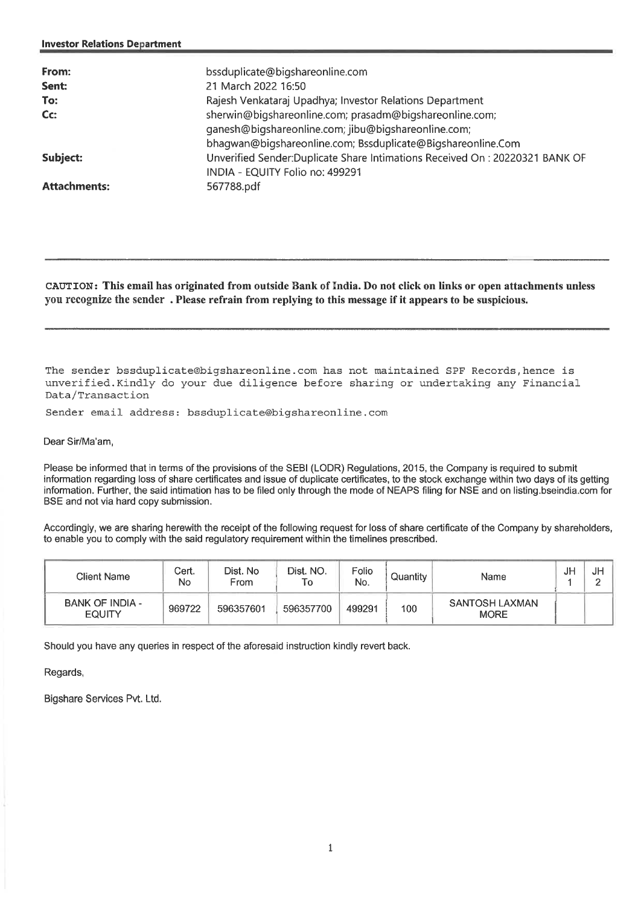| bssduplicate@bigshareonline.com<br>21 March 2022 16:50<br>Rajesh Venkataraj Upadhya; Investor Relations Department<br>sherwin@biqshareonline.com; prasadm@biqshareonline.com;<br>ganesh@bigshareonline.com; jibu@bigshareonline.com;<br>bhagwan@bigshareonline.com; Bssduplicate@Bigshareonline.Com<br>Unverified Sender:Duplicate Share Intimations Received On: 20220321 BANK OF<br>INDIA - EQUITY Folio no: 499291 |
|-----------------------------------------------------------------------------------------------------------------------------------------------------------------------------------------------------------------------------------------------------------------------------------------------------------------------------------------------------------------------------------------------------------------------|
| 567788.pdf                                                                                                                                                                                                                                                                                                                                                                                                            |
|                                                                                                                                                                                                                                                                                                                                                                                                                       |

**CAUTION: This email has originated from outside Bank of India. Do not click on links or open attachments unless you recognize the sender . Please refrain from replying to this message if it appears to be suspicious.** 

The sender bssduplicate@bigshareonline.com has not maintained SPF Records,hence is unverified.Kindly do your due diligence before sharing or undertaking any Financial Data/Transaction

Sender email address: bssduplicate@bigshareonline.com

Dear Sir/Ma'am,

Please be informed that in terms of the provisions of the SEBI (LODR) Regulations, 2015, the Company is required to submit information regarding loss of share certificates and issue of duplicate certificates, to the stock exchange within two days of its getting information. Further, the said intimation has to be filed only through the mode of NEAPS filing for NSE and on listing bseindia.com for BSE and not via hard copy submission.

Accordingly, we are sharing herewith the receipt of the following request for loss of share certificate of the Company by shareholders, to enable you to comply with the said regulatory requirement within the timelines prescribed.

| <b>Client Name</b>               | Cert.<br>No | Dist, No.<br>From | Dist. NO.<br>To | Folio<br>No. | Quantity | Name                          | JH | JH<br><sup>n</sup> |
|----------------------------------|-------------|-------------------|-----------------|--------------|----------|-------------------------------|----|--------------------|
| BANK OF INDIA -<br><b>EQUITY</b> | 969722      | 596357601         | 596357700       | 499291       | 100      | SANTOSH LAXMAN<br><b>MORE</b> |    |                    |

Should you have any queries in respect of the aforesaid instruction kindly revert back.

Regards,

Bigshare Services Pvt. Ltd.